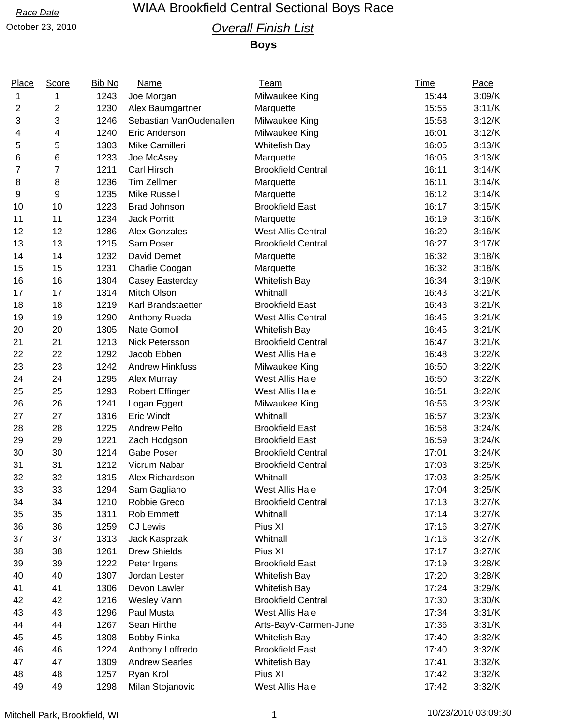## *Race Date* WIAA Brookfield Central Sectional Boys Race

## October 23, 2010 *Overall Finish List*

**Boys**

| Place          | Score          | <b>Bib No</b> | Name                    | <b>Team</b>               | <b>Time</b> | Pace   |
|----------------|----------------|---------------|-------------------------|---------------------------|-------------|--------|
| 1              | 1              | 1243          | Joe Morgan              | Milwaukee King            | 15:44       | 3:09/K |
| 2              | 2              | 1230          | Alex Baumgartner        | Marquette                 | 15:55       | 3:11/K |
| 3              | 3              | 1246          | Sebastian VanOudenallen | Milwaukee King            | 15:58       | 3:12/K |
| 4              | 4              | 1240          | Eric Anderson           | Milwaukee King            | 16:01       | 3:12/K |
| 5              | 5              | 1303          | Mike Camilleri          | <b>Whitefish Bay</b>      | 16:05       | 3:13/K |
| 6              | 6              | 1233          | Joe McAsey              | Marquette                 | 16:05       | 3:13/K |
| $\overline{7}$ | $\overline{7}$ | 1211          | Carl Hirsch             | <b>Brookfield Central</b> | 16:11       | 3:14/K |
| 8              | 8              | 1236          | <b>Tim Zellmer</b>      | Marquette                 | 16:11       | 3:14/K |
| 9              | 9              | 1235          | <b>Mike Russell</b>     | Marquette                 | 16:12       | 3:14/K |
| 10             | 10             | 1223          | <b>Brad Johnson</b>     | <b>Brookfield East</b>    | 16:17       | 3:15/K |
| 11             | 11             | 1234          | <b>Jack Porritt</b>     | Marquette                 | 16:19       | 3:16/K |
| 12             | 12             | 1286          | Alex Gonzales           | West Allis Central        | 16:20       | 3:16/K |
| 13             | 13             | 1215          | Sam Poser               | <b>Brookfield Central</b> | 16:27       | 3:17/K |
| 14             | 14             | 1232          | David Demet             | Marquette                 | 16:32       | 3:18/K |
| 15             | 15             | 1231          | Charlie Coogan          | Marquette                 | 16:32       | 3:18/K |
| 16             | 16             | 1304          | Casey Easterday         | Whitefish Bay             | 16:34       | 3:19/K |
| 17             | 17             | 1314          | Mitch Olson             | Whitnall                  | 16:43       | 3:21/K |
| 18             | 18             | 1219          | Karl Brandstaetter      | <b>Brookfield East</b>    | 16:43       | 3:21/K |
| 19             | 19             | 1290          | Anthony Rueda           | <b>West Allis Central</b> | 16:45       | 3:21/K |
| 20             | 20             | 1305          | Nate Gomoll             | <b>Whitefish Bay</b>      | 16:45       | 3:21/K |
| 21             | 21             | 1213          | Nick Petersson          | <b>Brookfield Central</b> | 16:47       | 3:21/K |
| 22             | 22             | 1292          | Jacob Ebben             | West Allis Hale           | 16:48       | 3:22/K |
| 23             | 23             | 1242          | <b>Andrew Hinkfuss</b>  | Milwaukee King            | 16:50       | 3:22/K |
| 24             | 24             | 1295          | Alex Murray             | West Allis Hale           | 16:50       | 3:22/K |
| 25             | 25             | 1293          | <b>Robert Effinger</b>  | West Allis Hale           | 16:51       | 3:22/K |
| 26             | 26             | 1241          | Logan Eggert            | Milwaukee King            | 16:56       | 3:23/K |
| 27             | 27             | 1316          | <b>Eric Windt</b>       | Whitnall                  | 16:57       | 3:23/K |
| 28             | 28             | 1225          | <b>Andrew Pelto</b>     | <b>Brookfield East</b>    | 16:58       | 3:24/K |
| 29             | 29             | 1221          | Zach Hodgson            | <b>Brookfield East</b>    | 16:59       | 3:24/K |
| 30             | 30             | 1214          | <b>Gabe Poser</b>       | <b>Brookfield Central</b> | 17:01       | 3:24/K |
| 31             | 31             | 1212          | Vicrum Nabar            | <b>Brookfield Central</b> | 17:03       | 3:25/K |
| 32             | 32             | 1315          | Alex Richardson         | Whitnall                  | 17:03       | 3:25/K |
| 33             | 33             | 1294          | Sam Gagliano            | West Allis Hale           | 17:04       | 3:25/K |
| 34             | 34             | 1210          | Robbie Greco            | <b>Brookfield Central</b> | 17:13       | 3:27/K |
| 35             | 35             | 1311          | Rob Emmett              | Whitnall                  | 17:14       | 3:27/K |
| 36             | 36             | 1259          | <b>CJ Lewis</b>         | Pius XI                   | 17:16       | 3:27/K |
| 37             | 37             | 1313          | Jack Kasprzak           | Whitnall                  | 17:16       | 3:27/K |
| 38             | 38             | 1261          | <b>Drew Shields</b>     | Pius XI                   | 17:17       | 3:27/K |
| 39             | 39             | 1222          | Peter Irgens            | <b>Brookfield East</b>    | 17:19       | 3:28/K |
| 40             | 40             | 1307          | Jordan Lester           | <b>Whitefish Bay</b>      | 17:20       | 3:28/K |
| 41             | 41             | 1306          | Devon Lawler            | Whitefish Bay             | 17:24       | 3:29/K |
| 42             | 42             | 1216          | <b>Wesley Vann</b>      | <b>Brookfield Central</b> | 17:30       | 3:30/K |
| 43             | 43             | 1296          | Paul Musta              | West Allis Hale           | 17:34       | 3:31/K |
| 44             | 44             | 1267          | Sean Hirthe             | Arts-BayV-Carmen-June     | 17:36       | 3:31/K |
| 45             | 45             | 1308          | <b>Bobby Rinka</b>      | <b>Whitefish Bay</b>      | 17:40       | 3:32/K |
| 46             | 46             | 1224          | Anthony Loffredo        | <b>Brookfield East</b>    | 17:40       | 3:32/K |
| 47             | 47             | 1309          | <b>Andrew Searles</b>   | <b>Whitefish Bay</b>      | 17:41       | 3:32/K |
| 48             | 48             | 1257          | Ryan Krol               | Pius XI                   | 17:42       | 3:32/K |
| 49             | 49             | 1298          | Milan Stojanovic        | West Allis Hale           | 17:42       | 3:32/K |